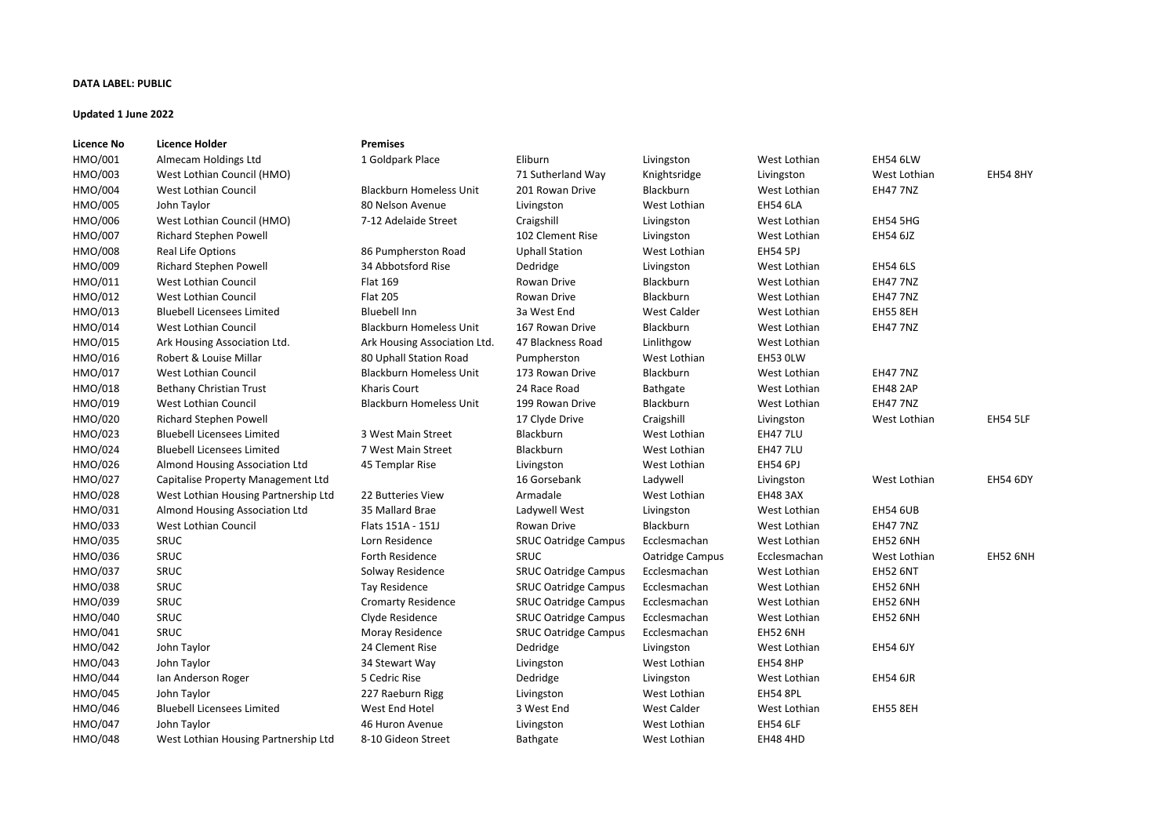## **DATA LABEL: PUBLIC**

## **Updated 1 June 2022**

| <b>Licence No</b> | <b>Licence Holder</b>                | <b>Premises</b>                |                             |                    |                 |                 |                 |
|-------------------|--------------------------------------|--------------------------------|-----------------------------|--------------------|-----------------|-----------------|-----------------|
| HMO/001           | Almecam Holdings Ltd                 | 1 Goldpark Place               | Eliburn                     | Livingston         | West Lothian    | <b>EH54 6LW</b> |                 |
| HMO/003           | West Lothian Council (HMO)           |                                | 71 Sutherland Way           | Knightsridge       | Livingston      | West Lothian    | <b>EH54 8HY</b> |
| HMO/004           | West Lothian Council                 | <b>Blackburn Homeless Unit</b> | 201 Rowan Drive             | Blackburn          | West Lothian    | <b>EH47 7NZ</b> |                 |
| HMO/005           | John Taylor                          | 80 Nelson Avenue               | Livingston                  | West Lothian       | <b>EH54 6LA</b> |                 |                 |
| HMO/006           | West Lothian Council (HMO)           | 7-12 Adelaide Street           | Craigshill                  | Livingston         | West Lothian    | <b>EH54 5HG</b> |                 |
| HMO/007           | <b>Richard Stephen Powell</b>        |                                | 102 Clement Rise            | Livingston         | West Lothian    | EH54 6JZ        |                 |
| HMO/008           | Real Life Options                    | 86 Pumpherston Road            | <b>Uphall Station</b>       | West Lothian       | <b>EH54 5PJ</b> |                 |                 |
| HMO/009           | <b>Richard Stephen Powell</b>        | 34 Abbotsford Rise             | Dedridge                    | Livingston         | West Lothian    | <b>EH54 6LS</b> |                 |
| HMO/011           | <b>West Lothian Council</b>          | Flat 169                       | Rowan Drive                 | Blackburn          | West Lothian    | <b>EH47 7NZ</b> |                 |
| HMO/012           | <b>West Lothian Council</b>          | <b>Flat 205</b>                | Rowan Drive                 | Blackburn          | West Lothian    | <b>EH47 7NZ</b> |                 |
| HMO/013           | <b>Bluebell Licensees Limited</b>    | <b>Bluebell Inn</b>            | 3a West End                 | <b>West Calder</b> | West Lothian    | <b>EH55 8EH</b> |                 |
| HMO/014           | <b>West Lothian Council</b>          | <b>Blackburn Homeless Unit</b> | 167 Rowan Drive             | Blackburn          | West Lothian    | <b>EH47 7NZ</b> |                 |
| HMO/015           | Ark Housing Association Ltd.         | Ark Housing Association Ltd.   | 47 Blackness Road           | Linlithgow         | West Lothian    |                 |                 |
| HMO/016           | Robert & Louise Millar               | 80 Uphall Station Road         | Pumpherston                 | West Lothian       | EH53 OLW        |                 |                 |
| HMO/017           | West Lothian Council                 | <b>Blackburn Homeless Unit</b> | 173 Rowan Drive             | Blackburn          | West Lothian    | <b>EH47 7NZ</b> |                 |
| HMO/018           | <b>Bethany Christian Trust</b>       | <b>Kharis Court</b>            | 24 Race Road                | Bathgate           | West Lothian    | <b>EH48 2AP</b> |                 |
| HMO/019           | West Lothian Council                 | <b>Blackburn Homeless Unit</b> | 199 Rowan Drive             | Blackburn          | West Lothian    | <b>EH47 7NZ</b> |                 |
| HMO/020           | <b>Richard Stephen Powell</b>        |                                | 17 Clyde Drive              | Craigshill         | Livingston      | West Lothian    | <b>EH54 5LF</b> |
| HMO/023           | <b>Bluebell Licensees Limited</b>    | 3 West Main Street             | Blackburn                   | West Lothian       | <b>EH47 7LU</b> |                 |                 |
| HMO/024           | <b>Bluebell Licensees Limited</b>    | 7 West Main Street             | Blackburn                   | West Lothian       | <b>EH47 7LU</b> |                 |                 |
| HMO/026           | Almond Housing Association Ltd       | 45 Templar Rise                | Livingston                  | West Lothian       | <b>EH54 6PJ</b> |                 |                 |
| HMO/027           | Capitalise Property Management Ltd   |                                | 16 Gorsebank                | Ladywell           | Livingston      | West Lothian    | <b>EH54 6DY</b> |
| HMO/028           | West Lothian Housing Partnership Ltd | 22 Butteries View              | Armadale                    | West Lothian       | <b>EH48 3AX</b> |                 |                 |
| HMO/031           | Almond Housing Association Ltd       | 35 Mallard Brae                | Ladywell West               | Livingston         | West Lothian    | <b>EH54 6UB</b> |                 |
| HMO/033           | West Lothian Council                 | Flats 151A - 151J              | Rowan Drive                 | <b>Blackburn</b>   | West Lothian    | <b>EH47 7NZ</b> |                 |
| HMO/035           | SRUC                                 | Lorn Residence                 | <b>SRUC Oatridge Campus</b> | Ecclesmachan       | West Lothian    | <b>EH52 6NH</b> |                 |
| HMO/036           | SRUC                                 | <b>Forth Residence</b>         | SRUC                        | Oatridge Campus    | Ecclesmachan    | West Lothian    | <b>EH52 6NH</b> |
| HMO/037           | SRUC                                 | Solway Residence               | <b>SRUC Oatridge Campus</b> | Ecclesmachan       | West Lothian    | <b>EH52 6NT</b> |                 |
| HMO/038           | SRUC                                 | Tay Residence                  | <b>SRUC Oatridge Campus</b> | Ecclesmachan       | West Lothian    | EH52 6NH        |                 |
| HMO/039           | SRUC                                 | <b>Cromarty Residence</b>      | <b>SRUC Oatridge Campus</b> | Ecclesmachan       | West Lothian    | <b>EH52 6NH</b> |                 |
| HMO/040           | SRUC                                 | Clyde Residence                | <b>SRUC Oatridge Campus</b> | Ecclesmachan       | West Lothian    | <b>EH52 6NH</b> |                 |
| HMO/041           | SRUC                                 | Moray Residence                | <b>SRUC Oatridge Campus</b> | Ecclesmachan       | EH52 6NH        |                 |                 |
| HMO/042           | John Taylor                          | 24 Clement Rise                | Dedridge                    | Livingston         | West Lothian    | <b>EH54 6JY</b> |                 |
| HMO/043           | John Taylor                          | 34 Stewart Way                 | Livingston                  | West Lothian       | <b>EH54 8HP</b> |                 |                 |
| HMO/044           | Ian Anderson Roger                   | 5 Cedric Rise                  | Dedridge                    | Livingston         | West Lothian    | <b>EH54 6JR</b> |                 |
| HMO/045           | John Taylor                          | 227 Raeburn Rigg               | Livingston                  | West Lothian       | <b>EH54 8PL</b> |                 |                 |
| HMO/046           | <b>Bluebell Licensees Limited</b>    | West End Hotel                 | 3 West End                  | <b>West Calder</b> | West Lothian    | <b>EH55 8EH</b> |                 |
| HMO/047           | John Taylor                          | 46 Huron Avenue                | Livingston                  | West Lothian       | <b>EH54 6LF</b> |                 |                 |
| HMO/048           | West Lothian Housing Partnership Ltd | 8-10 Gideon Street             | Bathgate                    | West Lothian       | <b>EH48 4HD</b> |                 |                 |